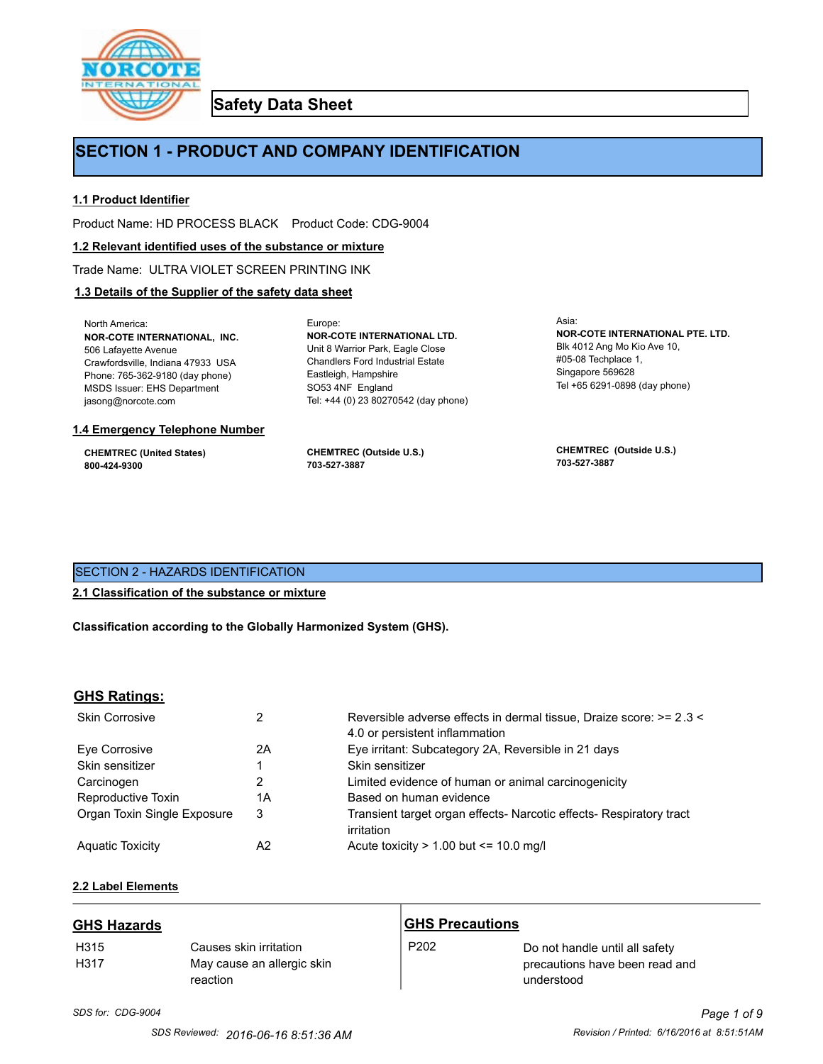

**Safety Data Sheet**

# **SECTION 1 - PRODUCT AND COMPANY IDENTIFICATION**

Europe:

# **1.1 Product Identifier**

Product Name: HD PROCESS BLACK Product Code: CDG-9004

# **1.2 Relevant identified uses of the substance or mixture**

Trade Name: ULTRA VIOLET SCREEN PRINTING INK

# **1.3 Details of the Supplier of the safety data sheet**

North America: **NOR-COTE INTERNATIONAL, INC.** 506 Lafayette Avenue Crawfordsville, Indiana 47933 USA Phone: 765-362-9180 (day phone) MSDS Issuer: EHS Department jasong@norcote.com

#### **1.4 Emergency Telephone Number**

**CHEMTREC (United States) 800-424-9300**

**CHEMTREC (Outside U.S.) 703-527-3887**

Eastleigh, Hampshire SO53 4NF England

**NOR-COTE INTERNATIONAL LTD.** Unit 8 Warrior Park, Eagle Close Chandlers Ford Industrial Estate

Tel: +44 (0) 23 80270542 (day phone)

Asia: **NOR-COTE INTERNATIONAL PTE. LTD.** Blk 4012 Ang Mo Kio Ave 10, #05-08 Techplace 1, Singapore 569628 Tel +65 6291-0898 (day phone)

**CHEMTREC (Outside U.S.) 703-527-3887**

# SECTION 2 - HAZARDS IDENTIFICATION

# **2.1 Classification of the substance or mixture**

**Classification according to the Globally Harmonized System (GHS).**

# **GHS Ratings:**

| <b>Skin Corrosive</b>       | 2  | Reversible adverse effects in dermal tissue, Draize score: >= 2.3 <<br>4.0 or persistent inflammation |
|-----------------------------|----|-------------------------------------------------------------------------------------------------------|
| Eve Corrosive               | 2A | Eye irritant: Subcategory 2A, Reversible in 21 days                                                   |
| Skin sensitizer             |    | Skin sensitizer                                                                                       |
| Carcinogen                  |    | Limited evidence of human or animal carcinogenicity                                                   |
| Reproductive Toxin          | 1A | Based on human evidence                                                                               |
| Organ Toxin Single Exposure | 3  | Transient target organ effects- Narcotic effects- Respiratory tract<br>irritation                     |
| <b>Aguatic Toxicity</b>     | A2 | Acute toxicity $> 1.00$ but $\leq 10.0$ mg/l                                                          |

# **2.2 Label Elements**

| <b>GHS Hazards</b> |                                                                  | <b>GHS Precautions</b> |                                                                                |
|--------------------|------------------------------------------------------------------|------------------------|--------------------------------------------------------------------------------|
| H315<br>H317       | Causes skin irritation<br>May cause an allergic skin<br>reaction | P <sub>202</sub>       | Do not handle until all safety<br>precautions have been read and<br>understood |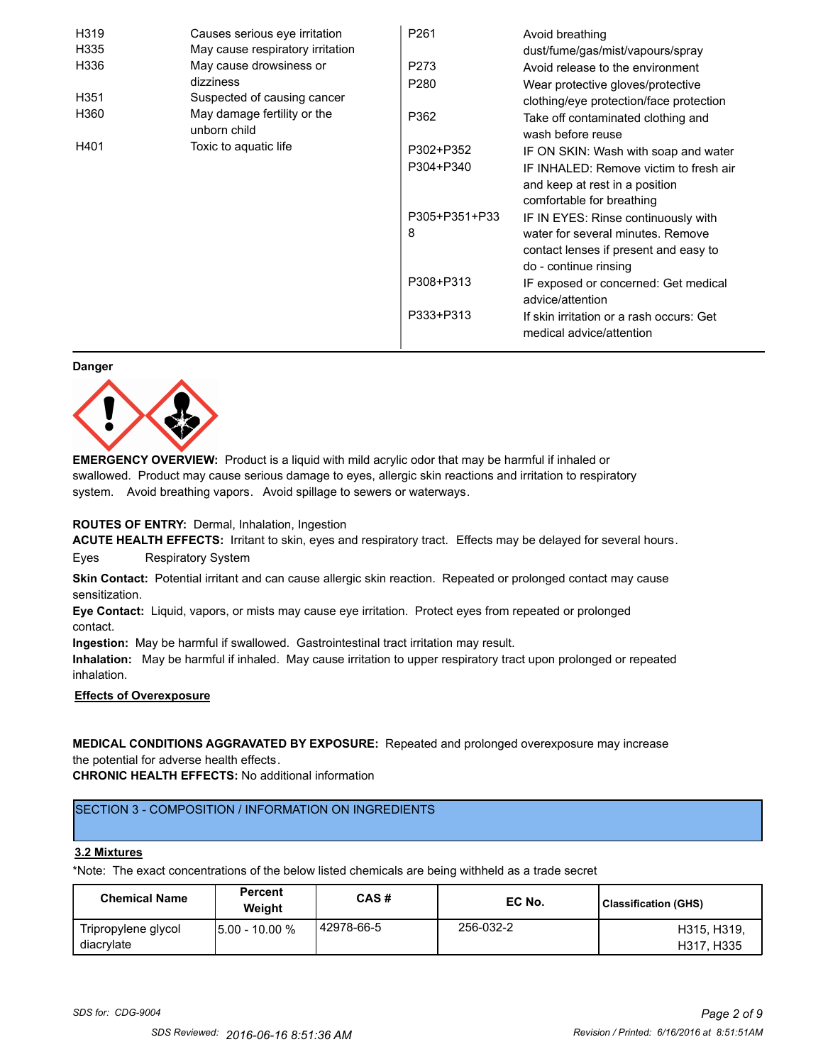| H319 | Causes serious eye irritation               | P <sub>261</sub> | Avoid breathing                                                      |
|------|---------------------------------------------|------------------|----------------------------------------------------------------------|
| H335 | May cause respiratory irritation            |                  | dust/fume/gas/mist/vapours/spray                                     |
| H336 | May cause drowsiness or                     | P273             | Avoid release to the environment                                     |
|      | dizziness                                   | P <sub>280</sub> | Wear protective gloves/protective                                    |
| H351 | Suspected of causing cancer                 |                  | clothing/eye protection/face protection                              |
| H360 | May damage fertility or the<br>unborn child | P362             | Take off contaminated clothing and<br>wash before reuse              |
| H401 | Toxic to aquatic life                       | P302+P352        | IF ON SKIN: Wash with soap and water                                 |
|      |                                             | P304+P340        | IF INHALED: Remove victim to fresh air                               |
|      |                                             |                  | and keep at rest in a position                                       |
|      |                                             |                  | comfortable for breathing                                            |
|      |                                             | P305+P351+P33    | IF IN EYES: Rinse continuously with                                  |
|      |                                             | 8                | water for several minutes. Remove                                    |
|      |                                             |                  | contact lenses if present and easy to                                |
|      |                                             |                  | do - continue rinsing                                                |
|      |                                             | P308+P313        | IF exposed or concerned: Get medical                                 |
|      |                                             |                  | advice/attention                                                     |
|      |                                             | P333+P313        | If skin irritation or a rash occurs: Get<br>medical advice/attention |

#### **Danger**



**EMERGENCY OVERVIEW:** Product is a liquid with mild acrylic odor that may be harmful if inhaled or swallowed. Product may cause serious damage to eyes, allergic skin reactions and irritation to respiratory system. Avoid breathing vapors. Avoid spillage to sewers or waterways.

# **ROUTES OF ENTRY:** Dermal, Inhalation, Ingestion

**ACUTE HEALTH EFFECTS:** Irritant to skin, eyes and respiratory tract. Effects may be delayed for several hours. Eyes Respiratory System

**Skin Contact:** Potential irritant and can cause allergic skin reaction. Repeated or prolonged contact may cause sensitization.

**Eye Contact:** Liquid, vapors, or mists may cause eye irritation. Protect eyes from repeated or prolonged contact.

**Ingestion:** May be harmful if swallowed. Gastrointestinal tract irritation may result.

**Inhalation:** May be harmful if inhaled. May cause irritation to upper respiratory tract upon prolonged or repeated inhalation.

# **Effects of Overexposure**

**MEDICAL CONDITIONS AGGRAVATED BY EXPOSURE:** Repeated and prolonged overexposure may increase the potential for adverse health effects.

**CHRONIC HEALTH EFFECTS:** No additional information

# SECTION 3 - COMPOSITION / INFORMATION ON INGREDIENTS

#### **3.2 Mixtures**

\*Note: The exact concentrations of the below listed chemicals are being withheld as a trade secret

| <b>Chemical Name</b>              | <b>Percent</b><br>Weiaht | CAS#         | EC No.    | <b>Classification (GHS)</b> |
|-----------------------------------|--------------------------|--------------|-----------|-----------------------------|
| Tripropylene glycol<br>diacrylate | 15.00 - 10.00 %          | l 42978-66-5 | 256-032-2 | H315, H319,<br>H317, H335   |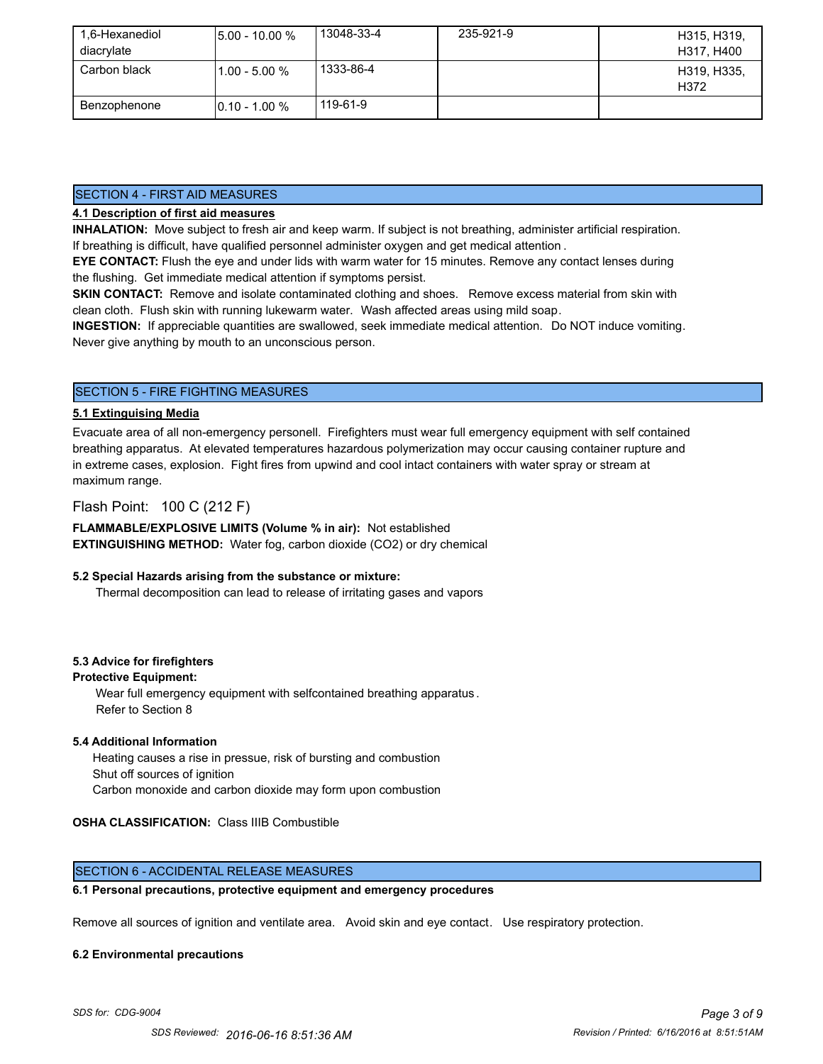| 1.6-Hexanediol | $15.00 - 10.00 %$ | 13048-33-4 | 235-921-9 | H315, H319,         |
|----------------|-------------------|------------|-----------|---------------------|
| diacrylate     |                   |            |           | H317, H400          |
| Carbon black   | $1.00 - 5.00 %$   | 1333-86-4  |           | H319, H335,<br>H372 |
| Benzophenone   | $10.10 - 1.00 %$  | 119-61-9   |           |                     |

# SECTION 4 - FIRST AID MEASURES

# **4.1 Description of first aid measures**

**INHALATION:** Move subject to fresh air and keep warm. If subject is not breathing, administer artificial respiration. If breathing is difficult, have qualified personnel administer oxygen and get medical attention .

**EYE CONTACT:** Flush the eye and under lids with warm water for 15 minutes. Remove any contact lenses during the flushing. Get immediate medical attention if symptoms persist.

**SKIN CONTACT:** Remove and isolate contaminated clothing and shoes. Remove excess material from skin with clean cloth. Flush skin with running lukewarm water. Wash affected areas using mild soap.

**INGESTION:** If appreciable quantities are swallowed, seek immediate medical attention. Do NOT induce vomiting. Never give anything by mouth to an unconscious person.

# SECTION 5 - FIRE FIGHTING MEASURES

# **5.1 Extinguising Media**

Evacuate area of all non-emergency personell. Firefighters must wear full emergency equipment with self contained breathing apparatus. At elevated temperatures hazardous polymerization may occur causing container rupture and in extreme cases, explosion. Fight fires from upwind and cool intact containers with water spray or stream at maximum range.

# Flash Point: 100 C (212 F)

**FLAMMABLE/EXPLOSIVE LIMITS (Volume % in air):** Not established **EXTINGUISHING METHOD:** Water fog, carbon dioxide (CO2) or dry chemical

# **5.2 Special Hazards arising from the substance or mixture:**

Thermal decomposition can lead to release of irritating gases and vapors

# **5.3 Advice for firefighters**

# **Protective Equipment:**

Wear full emergency equipment with selfcontained breathing apparatus . Refer to Section 8

# **5.4 Additional Information**

 Heating causes a rise in pressue, risk of bursting and combustion Shut off sources of ignition Carbon monoxide and carbon dioxide may form upon combustion

# **OSHA CLASSIFICATION:** Class IIIB Combustible

# SECTION 6 - ACCIDENTAL RELEASE MEASURES

# **6.1 Personal precautions, protective equipment and emergency procedures**

Remove all sources of ignition and ventilate area. Avoid skin and eye contact. Use respiratory protection.

#### **6.2 Environmental precautions**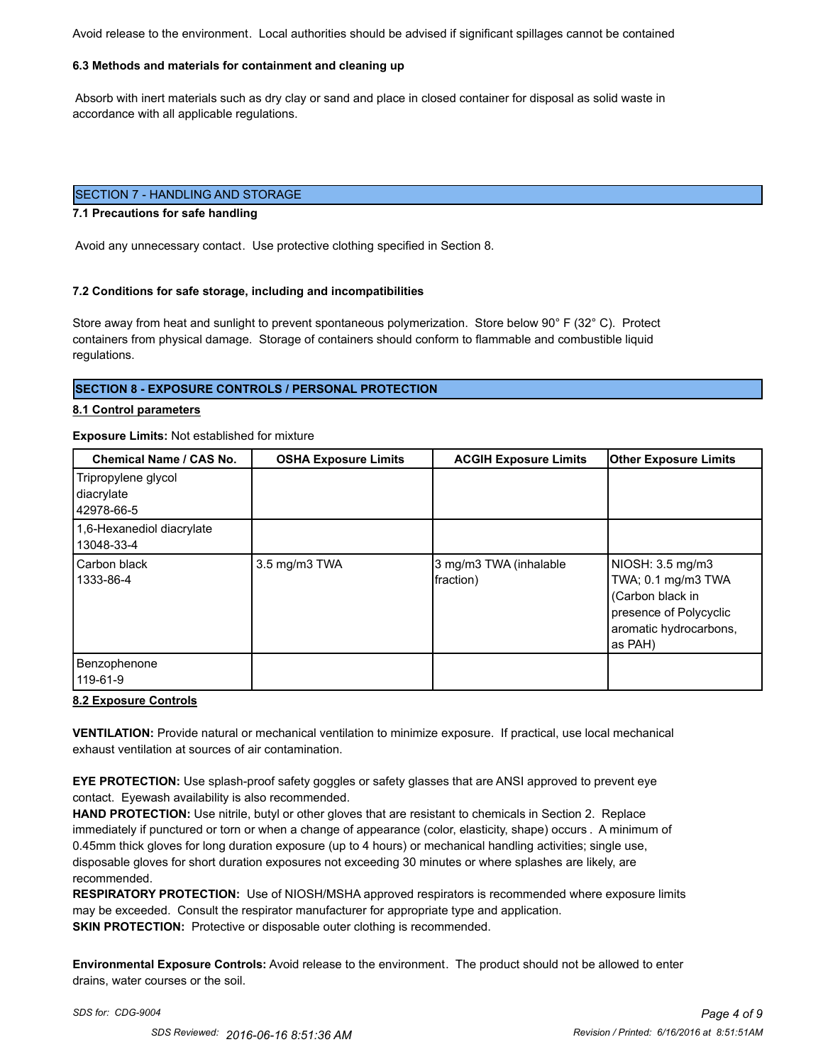Avoid release to the environment. Local authorities should be advised if significant spillages cannot be contained

#### **6.3 Methods and materials for containment and cleaning up**

 Absorb with inert materials such as dry clay or sand and place in closed container for disposal as solid waste in accordance with all applicable regulations.

# SECTION 7 - HANDLING AND STORAGE

# **7.1 Precautions for safe handling**

Avoid any unnecessary contact. Use protective clothing specified in Section 8.

# **7.2 Conditions for safe storage, including and incompatibilities**

Store away from heat and sunlight to prevent spontaneous polymerization. Store below 90° F (32° C). Protect containers from physical damage. Storage of containers should conform to flammable and combustible liquid regulations.

# **SECTION 8 - EXPOSURE CONTROLS / PERSONAL PROTECTION**

#### **8.1 Control parameters**

# **Exposure Limits:** Not established for mixture

| <b>Chemical Name / CAS No.</b>                  | <b>OSHA Exposure Limits</b> | <b>ACGIH Exposure Limits</b>        | <b>Other Exposure Limits</b>                                                                                              |
|-------------------------------------------------|-----------------------------|-------------------------------------|---------------------------------------------------------------------------------------------------------------------------|
| Tripropylene glycol<br>diacrylate<br>42978-66-5 |                             |                                     |                                                                                                                           |
| 1,6-Hexanediol diacrylate<br>13048-33-4         |                             |                                     |                                                                                                                           |
| Carbon black<br>1333-86-4                       | 3.5 mg/m3 TWA               | 3 mg/m3 TWA (inhalable<br>fraction) | NIOSH: 3.5 mg/m3<br>TWA; 0.1 mg/m3 TWA<br>(Carbon black in<br>presence of Polycyclic<br>aromatic hydrocarbons,<br>as PAH) |
| Benzophenone<br>119-61-9                        |                             |                                     |                                                                                                                           |

#### **8.2 Exposure Controls**

**VENTILATION:** Provide natural or mechanical ventilation to minimize exposure. If practical, use local mechanical exhaust ventilation at sources of air contamination.

**EYE PROTECTION:** Use splash-proof safety goggles or safety glasses that are ANSI approved to prevent eye contact. Eyewash availability is also recommended.

**HAND PROTECTION:** Use nitrile, butyl or other gloves that are resistant to chemicals in Section 2. Replace immediately if punctured or torn or when a change of appearance (color, elasticity, shape) occurs . A minimum of 0.45mm thick gloves for long duration exposure (up to 4 hours) or mechanical handling activities; single use, disposable gloves for short duration exposures not exceeding 30 minutes or where splashes are likely, are recommended.

**RESPIRATORY PROTECTION:** Use of NIOSH/MSHA approved respirators is recommended where exposure limits may be exceeded. Consult the respirator manufacturer for appropriate type and application. **SKIN PROTECTION:** Protective or disposable outer clothing is recommended.

**Environmental Exposure Controls:** Avoid release to the environment. The product should not be allowed to enter drains, water courses or the soil.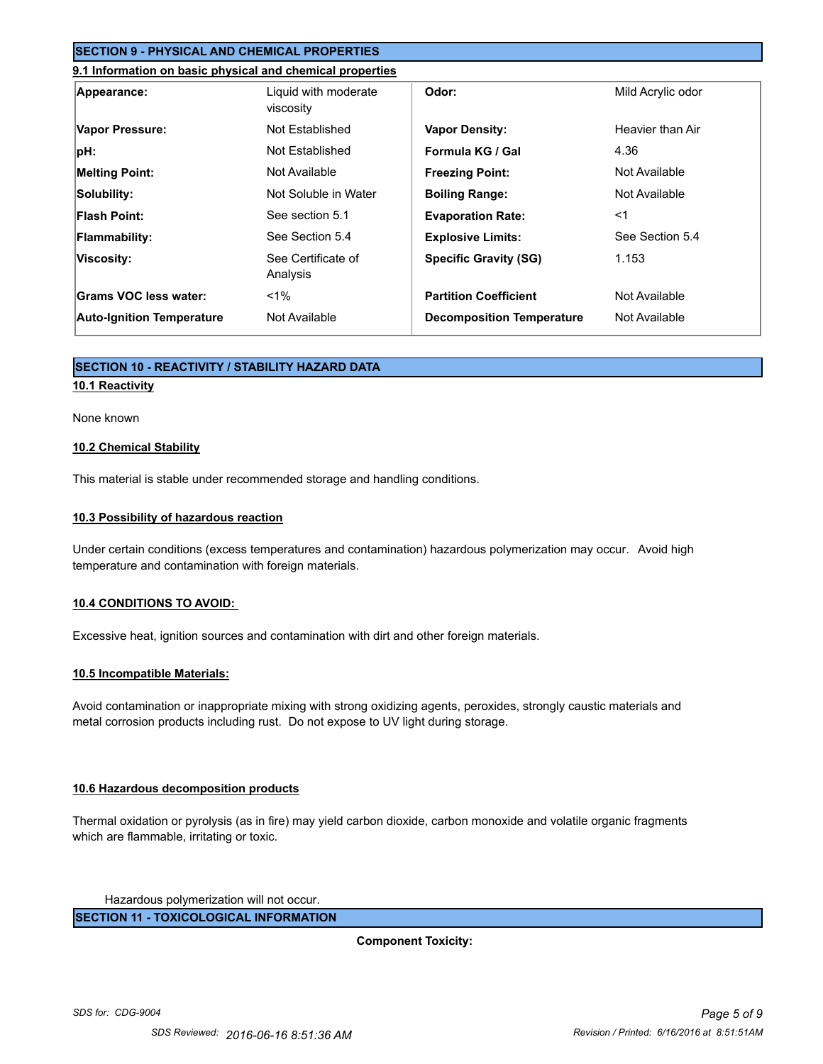# **SECTION 9 - PHYSICAL AND CHEMICAL PROPERTIES**

#### **9.1 Information on basic physical and chemical properties**

| Appearance:                      | Liquid with moderate<br>viscosity | Odor:                            | Mild Acrylic odor |
|----------------------------------|-----------------------------------|----------------------------------|-------------------|
| Vapor Pressure:                  | Not Established                   | <b>Vapor Density:</b>            | Heavier than Air  |
| pH:                              | Not Established                   | Formula KG / Gal                 | 4.36              |
| <b>Melting Point:</b>            | Not Available                     | <b>Freezing Point:</b>           | Not Available     |
| Solubility:                      | Not Soluble in Water              | <b>Boiling Range:</b>            | Not Available     |
| <b>Flash Point:</b>              | See section 5.1                   | <b>Evaporation Rate:</b>         | $<$ 1             |
| <b>Flammability:</b>             | See Section 5.4                   | <b>Explosive Limits:</b>         | See Section 5.4   |
| Viscosity:                       | See Certificate of<br>Analysis    | <b>Specific Gravity (SG)</b>     | 1.153             |
| Grams VOC less water:            | $1\%$                             | <b>Partition Coefficient</b>     | Not Available     |
| <b>Auto-Ignition Temperature</b> | Not Available                     | <b>Decomposition Temperature</b> | Not Available     |

# **SECTION 10 - REACTIVITY / STABILITY HAZARD DATA**

# **10.1 Reactivity**

# None known

# **10.2 Chemical Stability**

This material is stable under recommended storage and handling conditions.

# **10.3 Possibility of hazardous reaction**

Under certain conditions (excess temperatures and contamination) hazardous polymerization may occur. Avoid high temperature and contamination with foreign materials.

# **10.4 CONDITIONS TO AVOID:**

Excessive heat, ignition sources and contamination with dirt and other foreign materials.

# **10.5 Incompatible Materials:**

Avoid contamination or inappropriate mixing with strong oxidizing agents, peroxides, strongly caustic materials and metal corrosion products including rust. Do not expose to UV light during storage.

# **10.6 Hazardous decomposition products**

Thermal oxidation or pyrolysis (as in fire) may yield carbon dioxide, carbon monoxide and volatile organic fragments which are flammable, irritating or toxic.

Hazardous polymerization will not occur.

**SECTION 11 - TOXICOLOGICAL INFORMATION**

**Component Toxicity:**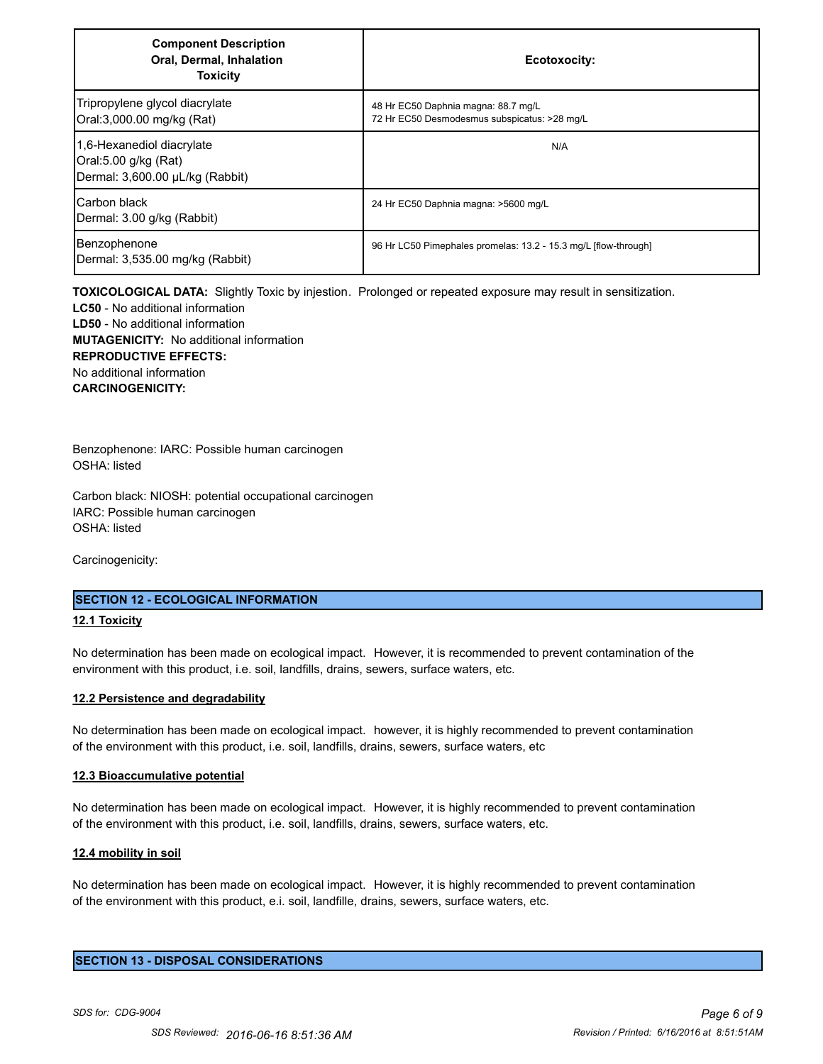| <b>Component Description</b><br>Oral, Dermal, Inhalation<br><b>Toxicity</b>          | Ecotoxocity:                                                                        |
|--------------------------------------------------------------------------------------|-------------------------------------------------------------------------------------|
| Tripropylene glycol diacrylate<br>Oral:3,000.00 mg/kg (Rat)                          | 48 Hr EC50 Daphnia magna: 88.7 mg/L<br>72 Hr EC50 Desmodesmus subspicatus: >28 mg/L |
| 1.6-Hexanediol diacrylate<br>Oral:5.00 g/kg (Rat)<br>Dermal: 3,600.00 µL/kg (Rabbit) | N/A                                                                                 |
| Carbon black<br>Dermal: 3.00 g/kg (Rabbit)                                           | 24 Hr EC50 Daphnia magna: >5600 mg/L                                                |
| Benzophenone<br>Dermal: 3,535.00 mg/kg (Rabbit)                                      | 96 Hr LC50 Pimephales promelas: 13.2 - 15.3 mg/L [flow-through]                     |

**TOXICOLOGICAL DATA:** Slightly Toxic by injestion. Prolonged or repeated exposure may result in sensitization. **LC50** - No additional information **LD50** - No additional information **MUTAGENICITY:** No additional information **REPRODUCTIVE EFFECTS:** No additional information **CARCINOGENICITY:**

Benzophenone: IARC: Possible human carcinogen OSHA: listed

Carbon black: NIOSH: potential occupational carcinogen IARC: Possible human carcinogen OSHA: listed

Carcinogenicity:

# **SECTION 12 - ECOLOGICAL INFORMATION**

# **12.1 Toxicity**

No determination has been made on ecological impact. However, it is recommended to prevent contamination of the environment with this product, i.e. soil, landfills, drains, sewers, surface waters, etc.

#### **12.2 Persistence and degradability**

No determination has been made on ecological impact. however, it is highly recommended to prevent contamination of the environment with this product, i.e. soil, landfills, drains, sewers, surface waters, etc

#### **12.3 Bioaccumulative potential**

No determination has been made on ecological impact. However, it is highly recommended to prevent contamination of the environment with this product, i.e. soil, landfills, drains, sewers, surface waters, etc.

#### **12.4 mobility in soil**

No determination has been made on ecological impact. However, it is highly recommended to prevent contamination of the environment with this product, e.i. soil, landfille, drains, sewers, surface waters, etc.

#### **SECTION 13 - DISPOSAL CONSIDERATIONS**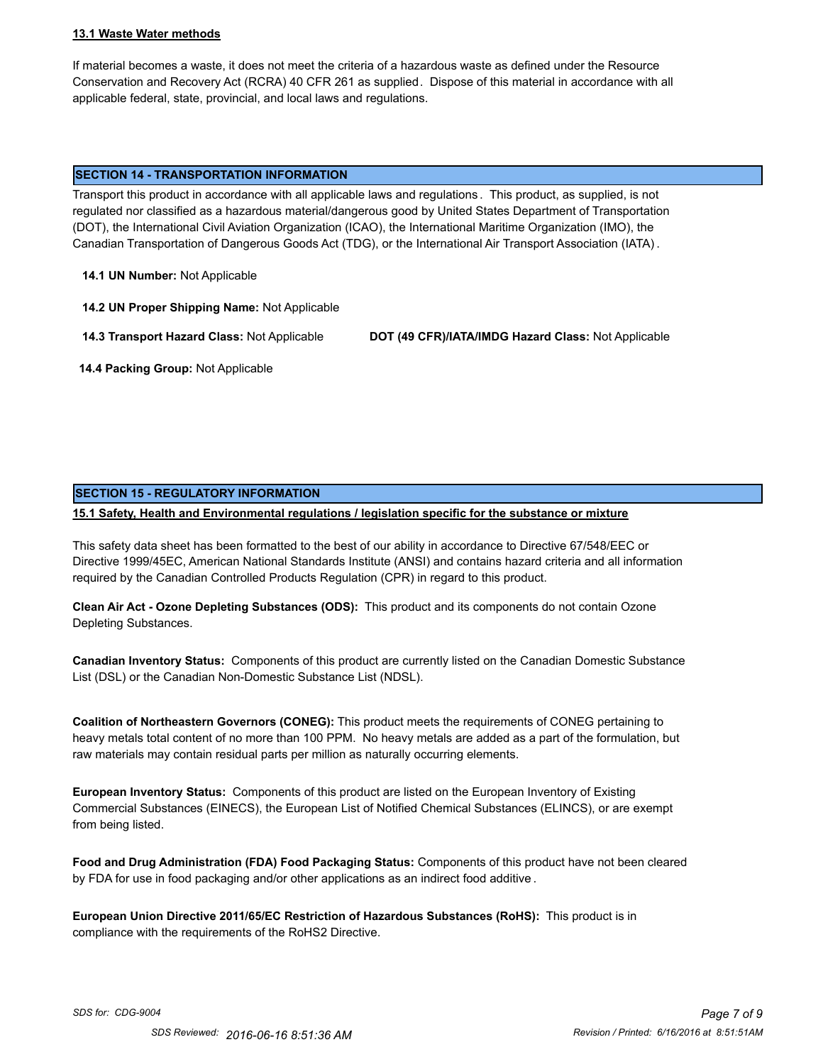# **13.1 Waste Water methods**

If material becomes a waste, it does not meet the criteria of a hazardous waste as defined under the Resource Conservation and Recovery Act (RCRA) 40 CFR 261 as supplied. Dispose of this material in accordance with all applicable federal, state, provincial, and local laws and regulations.

#### **SECTION 14 - TRANSPORTATION INFORMATION**

Transport this product in accordance with all applicable laws and regulations . This product, as supplied, is not regulated nor classified as a hazardous material/dangerous good by United States Department of Transportation (DOT), the International Civil Aviation Organization (ICAO), the International Maritime Organization (IMO), the Canadian Transportation of Dangerous Goods Act (TDG), or the International Air Transport Association (IATA) .

**14.1 UN Number:** Not Applicable

**14.2 UN Proper Shipping Name:** Not Applicable

**14.3 Transport Hazard Class:** Not Applicable **DOT (49 CFR)/IATA/IMDG Hazard Class:** Not Applicable

 **14.4 Packing Group:** Not Applicable

# **SECTION 15 - REGULATORY INFORMATION**

**15.1 Safety, Health and Environmental regulations / legislation specific for the substance or mixture**

This safety data sheet has been formatted to the best of our ability in accordance to Directive 67/548/EEC or Directive 1999/45EC, American National Standards Institute (ANSI) and contains hazard criteria and all information required by the Canadian Controlled Products Regulation (CPR) in regard to this product.

**Clean Air Act - Ozone Depleting Substances (ODS):** This product and its components do not contain Ozone Depleting Substances.

**Canadian Inventory Status:** Components of this product are currently listed on the Canadian Domestic Substance List (DSL) or the Canadian Non-Domestic Substance List (NDSL).

**Coalition of Northeastern Governors (CONEG):** This product meets the requirements of CONEG pertaining to heavy metals total content of no more than 100 PPM. No heavy metals are added as a part of the formulation, but raw materials may contain residual parts per million as naturally occurring elements.

**European Inventory Status:** Components of this product are listed on the European Inventory of Existing Commercial Substances (EINECS), the European List of Notified Chemical Substances (ELINCS), or are exempt from being listed.

**Food and Drug Administration (FDA) Food Packaging Status:** Components of this product have not been cleared by FDA for use in food packaging and/or other applications as an indirect food additive .

**European Union Directive 2011/65/EC Restriction of Hazardous Substances (RoHS):** This product is in compliance with the requirements of the RoHS2 Directive.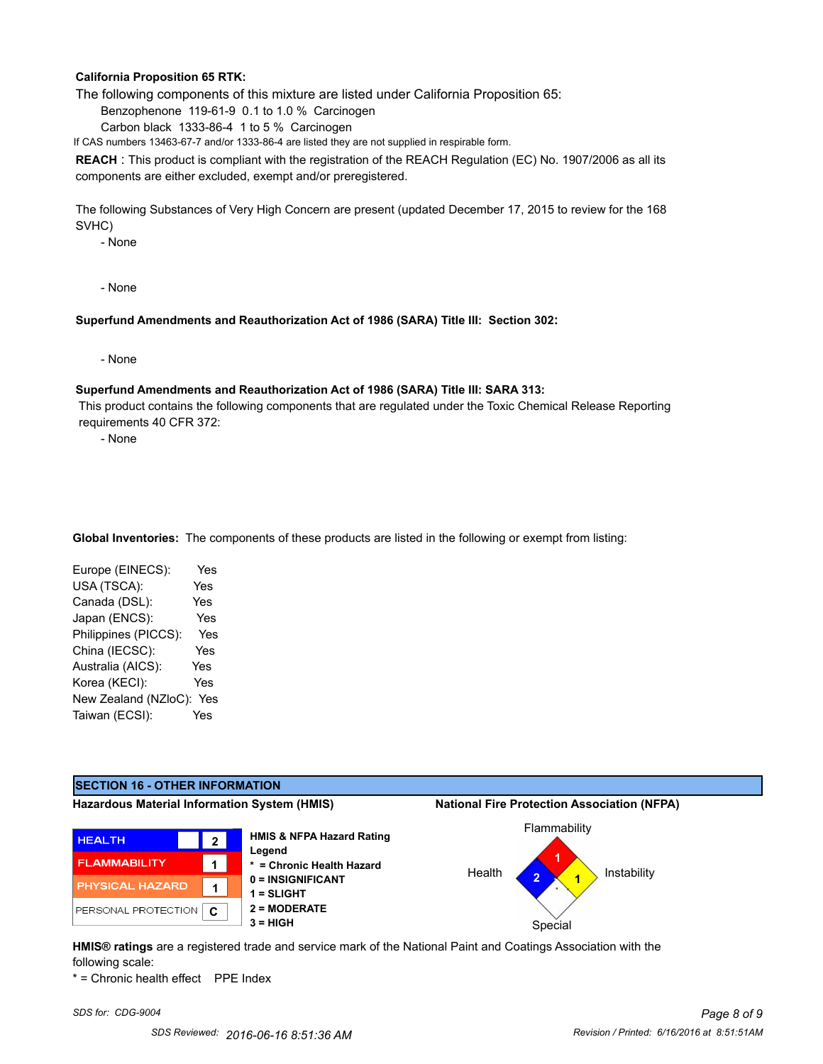# **California Proposition 65 RTK:**

The following components of this mixture are listed under California Proposition 65:

Benzophenone 119-61-9 0.1 to 1.0 % Carcinogen

Carbon black 1333-86-4 1 to 5 % Carcinogen

If CAS numbers 13463-67-7 and/or 1333-86-4 are listed they are not supplied in respirable form.

**REACH** : This product is compliant with the registration of the REACH Regulation (EC) No. 1907/2006 as all its components are either excluded, exempt and/or preregistered.

The following Substances of Very High Concern are present (updated December 17, 2015 to review for the 168 SVHC)

- None

- None

#### **Superfund Amendments and Reauthorization Act of 1986 (SARA) Title III: Section 302:**

- None

#### **Superfund Amendments and Reauthorization Act of 1986 (SARA) Title III: SARA 313:**

 This product contains the following components that are regulated under the Toxic Chemical Release Reporting requirements 40 CFR 372:

- None

**Global Inventories:** The components of these products are listed in the following or exempt from listing:

| Yes |
|-----|
| Yes |
| Yes |
| Yes |
| Yes |
| Yes |
| Yes |
| Yes |
| Yes |
| Yes |
|     |

# **SECTION 16 - OTHER INFORMATION**

**Hazardous Material Information System (HMIS) National Fire Protection Association (NFPA)**







**HMIS® ratings** are a registered trade and service mark of the National Paint and Coatings Association with the following scale:

\* = Chronic health effect PPE Index